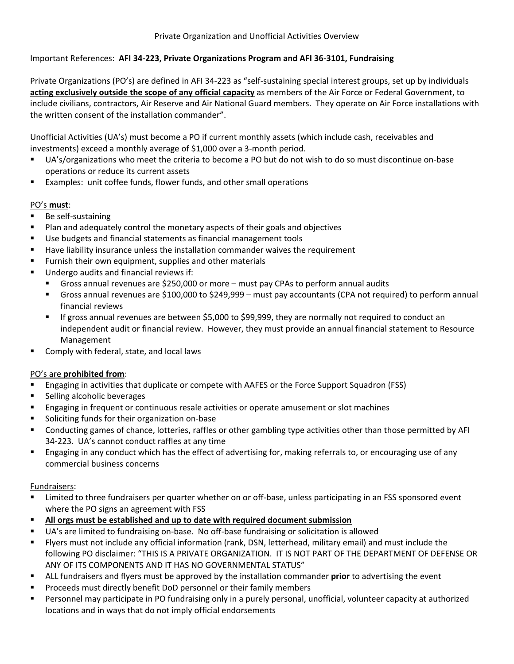# Important References: **AFI 34-223, Private Organizations Program and AFI 36-3101, Fundraising**

Private Organizations (PO's) are defined in AFI 34-223 as "self-sustaining special interest groups, set up by individuals **acting exclusively outside the scope of any official capacity** as members of the Air Force or Federal Government, to include civilians, contractors, Air Reserve and Air National Guard members. They operate on Air Force installations with the written consent of the installation commander".

Unofficial Activities (UA's) must become a PO if current monthly assets (which include cash, receivables and investments) exceed a monthly average of \$1,000 over a 3-month period.

- UA's/organizations who meet the criteria to become a PO but do not wish to do so must discontinue on-base operations or reduce its current assets
- **EXamples: unit coffee funds, flower funds, and other small operations**

# PO's **must**:

- **Be self-sustaining**
- Plan and adequately control the monetary aspects of their goals and objectives
- Use budgets and financial statements as financial management tools
- **Have liability insurance unless the installation commander waives the requirement**
- **Furnish their own equipment, supplies and other materials**
- **Undergo audits and financial reviews if:** 
	- Gross annual revenues are \$250,000 or more must pay CPAs to perform annual audits
	- Gross annual revenues are \$100,000 to \$249,999 must pay accountants (CPA not required) to perform annual financial reviews
	- If gross annual revenues are between \$5,000 to \$99,999, they are normally not required to conduct an independent audit or financial review. However, they must provide an annual financial statement to Resource Management
- Comply with federal, state, and local laws

### PO's are **prohibited from**:

- Engaging in activities that duplicate or compete with AAFES or the Force Support Squadron (FSS)
- **Selling alcoholic beverages**
- Engaging in frequent or continuous resale activities or operate amusement or slot machines
- Soliciting funds for their organization on-base
- Conducting games of chance, lotteries, raffles or other gambling type activities other than those permitted by AFI 34-223. UA's cannot conduct raffles at any time
- Engaging in any conduct which has the effect of advertising for, making referrals to, or encouraging use of any commercial business concerns

### Fundraisers:

- Limited to three fundraisers per quarter whether on or off-base, unless participating in an FSS sponsored event where the PO signs an agreement with FSS
- **All orgs must be established and up to date with required document submission**
- UA's are limited to fundraising on-base. No off-base fundraising or solicitation is allowed
- Flyers must not include any official information (rank, DSN, letterhead, military email) and must include the following PO disclaimer: "THIS IS A PRIVATE ORGANIZATION. IT IS NOT PART OF THE DEPARTMENT OF DEFENSE OR ANY OF ITS COMPONENTS AND IT HAS NO GOVERNMENTAL STATUS"
- ALL fundraisers and flyers must be approved by the installation commander **prior** to advertising the event
- Proceeds must directly benefit DoD personnel or their family members
- Personnel may participate in PO fundraising only in a purely personal, unofficial, volunteer capacity at authorized locations and in ways that do not imply official endorsements